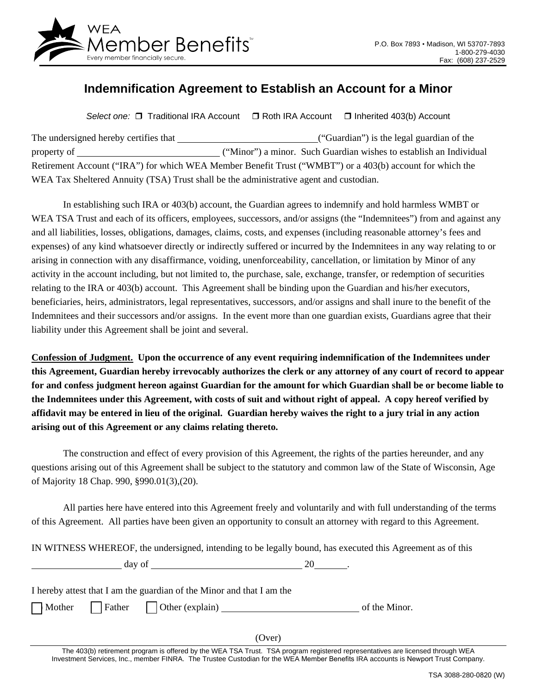

## **Indemnification Agreement to Establish an Account for a Minor**

Select one: □ Traditional IRA Account D Roth IRA Account D Inherited 403(b) Account

| The undersigned hereby certifies that                                                  | ("Guardian") is the legal guardian of the                                                                |
|----------------------------------------------------------------------------------------|----------------------------------------------------------------------------------------------------------|
| property of                                                                            | ("Minor") a minor. Such Guardian wishes to establish an Individual                                       |
|                                                                                        | Retirement Account ("IRA") for which WEA Member Benefit Trust ("WMBT") or a 403(b) account for which the |
| WEA Tax Sheltered Annuity (TSA) Trust shall be the administrative agent and custodian. |                                                                                                          |

In establishing such IRA or 403(b) account, the Guardian agrees to indemnify and hold harmless WMBT or WEA TSA Trust and each of its officers, employees, successors, and/or assigns (the "Indemnitees") from and against any and all liabilities, losses, obligations, damages, claims, costs, and expenses (including reasonable attorney's fees and expenses) of any kind whatsoever directly or indirectly suffered or incurred by the Indemnitees in any way relating to or arising in connection with any disaffirmance, voiding, unenforceability, cancellation, or limitation by Minor of any activity in the account including, but not limited to, the purchase, sale, exchange, transfer, or redemption of securities relating to the IRA or 403(b) account. This Agreement shall be binding upon the Guardian and his/her executors, beneficiaries, heirs, administrators, legal representatives, successors, and/or assigns and shall inure to the benefit of the Indemnitees and their successors and/or assigns. In the event more than one guardian exists, Guardians agree that their liability under this Agreement shall be joint and several.

**Confession of Judgment. Upon the occurrence of any event requiring indemnification of the Indemnitees under this Agreement, Guardian hereby irrevocably authorizes the clerk or any attorney of any court of record to appear for and confess judgment hereon against Guardian for the amount for which Guardian shall be or become liable to the Indemnitees under this Agreement, with costs of suit and without right of appeal. A copy hereof verified by affidavit may be entered in lieu of the original. Guardian hereby waives the right to a jury trial in any action arising out of this Agreement or any claims relating thereto.** 

The construction and effect of every provision of this Agreement, the rights of the parties hereunder, and any questions arising out of this Agreement shall be subject to the statutory and common law of the State of Wisconsin, Age of Majority 18 Chap. 990, §990.01(3),(20).

All parties here have entered into this Agreement freely and voluntarily and with full understanding of the terms of this Agreement. All parties have been given an opportunity to consult an attorney with regard to this Agreement.

IN WITNESS WHEREOF, the undersigned, intending to be legally bound, has executed this Agreement as of this

| day of                                                                |  |  |  |
|-----------------------------------------------------------------------|--|--|--|
|                                                                       |  |  |  |
| I hereby attest that I am the guardian of the Minor and that I am the |  |  |  |

Mother  $\Box$  Father  $\Box$  Other (explain)  $\Box$  of the Minor.

(Over)

The 403(b) retirement program is offered by the WEA TSA Trust. TSA program registered representatives are licensed through WEA Investment Services, Inc., member FINRA. The Trustee Custodian for the WEA Member Benefits IRA accounts is Newport Trust Company.